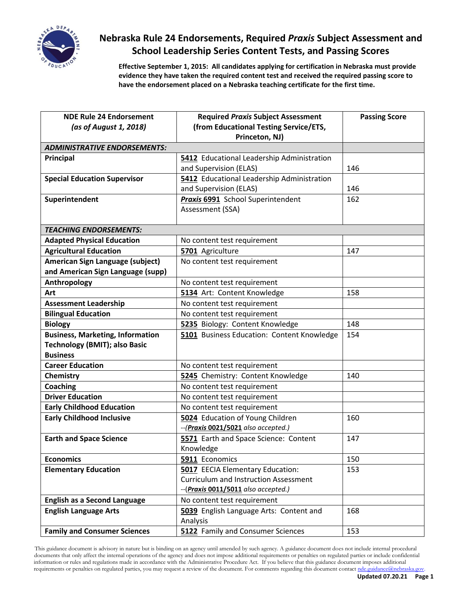

## **Nebraska Rule 24 Endorsements, Required** *Praxis* **Subject Assessment and School Leadership Series Content Tests, and Passing Scores**

**Effective September 1, 2015: All candidates applying for certification in Nebraska must provide evidence they have taken the required content test and received the required passing score to have the endorsement placed on a Nebraska teaching certificate for the first time.**

| <b>NDE Rule 24 Endorsement</b>          | <b>Required Praxis Subject Assessment</b>    | <b>Passing Score</b> |
|-----------------------------------------|----------------------------------------------|----------------------|
| (as of August 1, 2018)                  | (from Educational Testing Service/ETS,       |                      |
|                                         | Princeton, NJ)                               |                      |
| <b>ADMINISTRATIVE ENDORSEMENTS:</b>     |                                              |                      |
| Principal                               | 5412 Educational Leadership Administration   |                      |
|                                         | and Supervision (ELAS)                       | 146                  |
| <b>Special Education Supervisor</b>     | 5412 Educational Leadership Administration   |                      |
|                                         | and Supervision (ELAS)                       | 146                  |
| Superintendent                          | <b>Praxis 6991</b> School Superintendent     | 162                  |
|                                         | Assessment (SSA)                             |                      |
|                                         |                                              |                      |
| <b>TEACHING ENDORSEMENTS:</b>           |                                              |                      |
| <b>Adapted Physical Education</b>       | No content test requirement                  |                      |
| <b>Agricultural Education</b>           | 5701 Agriculture                             | 147                  |
| American Sign Language (subject)        | No content test requirement                  |                      |
| and American Sign Language (supp)       |                                              |                      |
| Anthropology                            | No content test requirement                  |                      |
| Art                                     | 5134 Art: Content Knowledge                  | 158                  |
| <b>Assessment Leadership</b>            | No content test requirement                  |                      |
| <b>Bilingual Education</b>              | No content test requirement                  |                      |
| <b>Biology</b>                          | 5235 Biology: Content Knowledge              | 148                  |
| <b>Business, Marketing, Information</b> | 5101 Business Education: Content Knowledge   | 154                  |
| <b>Technology (BMIT); also Basic</b>    |                                              |                      |
| <b>Business</b>                         |                                              |                      |
| <b>Career Education</b>                 | No content test requirement                  |                      |
| Chemistry                               | 5245 Chemistry: Content Knowledge            | 140                  |
| <b>Coaching</b>                         | No content test requirement                  |                      |
| <b>Driver Education</b>                 | No content test requirement                  |                      |
| <b>Early Childhood Education</b>        | No content test requirement                  |                      |
| <b>Early Childhood Inclusive</b>        | 5024 Education of Young Children             | 160                  |
|                                         | --(Praxis 0021/5021 also accepted.)          |                      |
| <b>Earth and Space Science</b>          | 5571 Earth and Space Science: Content        | 147                  |
|                                         | Knowledge                                    |                      |
| <b>Economics</b>                        | 5911 Economics                               | 150                  |
| <b>Elementary Education</b>             | 5017 EECIA Elementary Education:             | 153                  |
|                                         | <b>Curriculum and Instruction Assessment</b> |                      |
|                                         | --(Praxis 0011/5011 also accepted.)          |                      |
| <b>English as a Second Language</b>     | No content test requirement                  |                      |
| <b>English Language Arts</b>            | 5039 English Language Arts: Content and      | 168                  |
|                                         | Analysis                                     |                      |
| <b>Family and Consumer Sciences</b>     | 5122 Family and Consumer Sciences            | 153                  |

 This guidance document is advisory in nature but is binding on an agency until amended by such agency. A guidance document does not include internal procedural documents that only affect the internal operations of the agency and does not impose additional requirements or penalties on regulated parties or include confidential information or rules and regulations made in accordance with the Administrative Procedure Act. If you believe that this guidance document imposes additional requirements or penalties on regulated parties, you may request a review of the document. For comments regarding this document contac[t nde.guidance@nebraska.gov.](mailto:nde.guidance@nebraska.gov)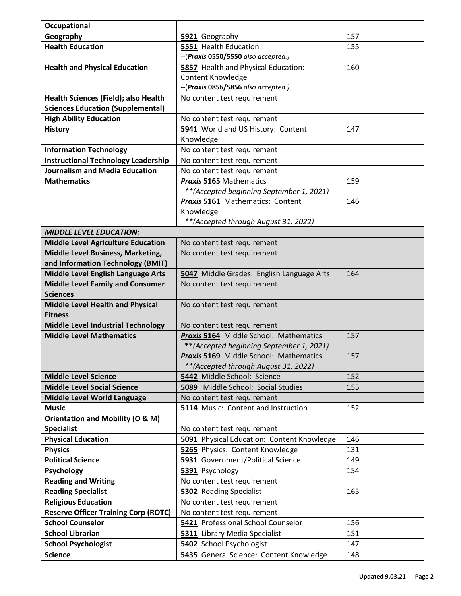| Occupational                                |                                               |     |
|---------------------------------------------|-----------------------------------------------|-----|
| Geography                                   | 5921 Geography                                | 157 |
| <b>Health Education</b>                     | 5551 Health Education                         | 155 |
|                                             | --(Praxis 0550/5550 also accepted.)           |     |
| <b>Health and Physical Education</b>        | 5857 Health and Physical Education:           | 160 |
|                                             | Content Knowledge                             |     |
|                                             | --(Praxis 0856/5856 also accepted.)           |     |
| Health Sciences (Field); also Health        | No content test requirement                   |     |
| <b>Sciences Education (Supplemental)</b>    |                                               |     |
| <b>High Ability Education</b>               | No content test requirement                   |     |
| <b>History</b>                              | 5941 World and US History: Content            | 147 |
|                                             | Knowledge                                     |     |
| <b>Information Technology</b>               | No content test requirement                   |     |
| <b>Instructional Technology Leadership</b>  | No content test requirement                   |     |
| <b>Journalism and Media Education</b>       | No content test requirement                   |     |
| <b>Mathematics</b>                          | <b>Praxis 5165 Mathematics</b>                | 159 |
|                                             | ** (Accepted beginning September 1, 2021)     |     |
|                                             | Praxis 5161 Mathematics: Content              | 146 |
|                                             | Knowledge                                     |     |
|                                             | ** (Accepted through August 31, 2022)         |     |
| <b>MIDDLE LEVEL EDUCATION:</b>              |                                               |     |
| <b>Middle Level Agriculture Education</b>   | No content test requirement                   |     |
| Middle Level Business, Marketing,           | No content test requirement                   |     |
| and Information Technology (BMIT)           |                                               |     |
| Middle Level English Language Arts          | 5047 Middle Grades: English Language Arts     | 164 |
| <b>Middle Level Family and Consumer</b>     | No content test requirement                   |     |
| <b>Sciences</b>                             |                                               |     |
| <b>Middle Level Health and Physical</b>     | No content test requirement                   |     |
| <b>Fitness</b>                              |                                               |     |
| <b>Middle Level Industrial Technology</b>   | No content test requirement                   |     |
| <b>Middle Level Mathematics</b>             | Praxis 5164 Middle School: Mathematics        | 157 |
|                                             | ** (Accepted beginning September 1, 2021)     |     |
|                                             | <b>Praxis 5169</b> Middle School: Mathematics | 157 |
|                                             | ** (Accepted through August 31, 2022)         |     |
| <b>Middle Level Science</b>                 | 5442 Middle School: Science                   | 152 |
| <b>Middle Level Social Science</b>          | 5089 Middle School: Social Studies            | 155 |
| Middle Level World Language                 | No content test requirement                   |     |
| <b>Music</b>                                | 5114 Music: Content and Instruction           | 152 |
| Orientation and Mobility (O & M)            |                                               |     |
| <b>Specialist</b>                           | No content test requirement                   |     |
| <b>Physical Education</b>                   | 5091 Physical Education: Content Knowledge    | 146 |
| <b>Physics</b>                              | 5265 Physics: Content Knowledge               | 131 |
| <b>Political Science</b>                    | 5931 Government/Political Science             | 149 |
| Psychology                                  | 5391 Psychology                               | 154 |
| <b>Reading and Writing</b>                  | No content test requirement                   |     |
| <b>Reading Specialist</b>                   | 5302 Reading Specialist                       | 165 |
| <b>Religious Education</b>                  | No content test requirement                   |     |
| <b>Reserve Officer Training Corp (ROTC)</b> | No content test requirement                   |     |
| <b>School Counselor</b>                     | 5421 Professional School Counselor            | 156 |
| <b>School Librarian</b>                     | 5311 Library Media Specialist                 | 151 |
| <b>School Psychologist</b>                  | 5402 School Psychologist                      | 147 |
| <b>Science</b>                              | 5435 General Science: Content Knowledge       | 148 |